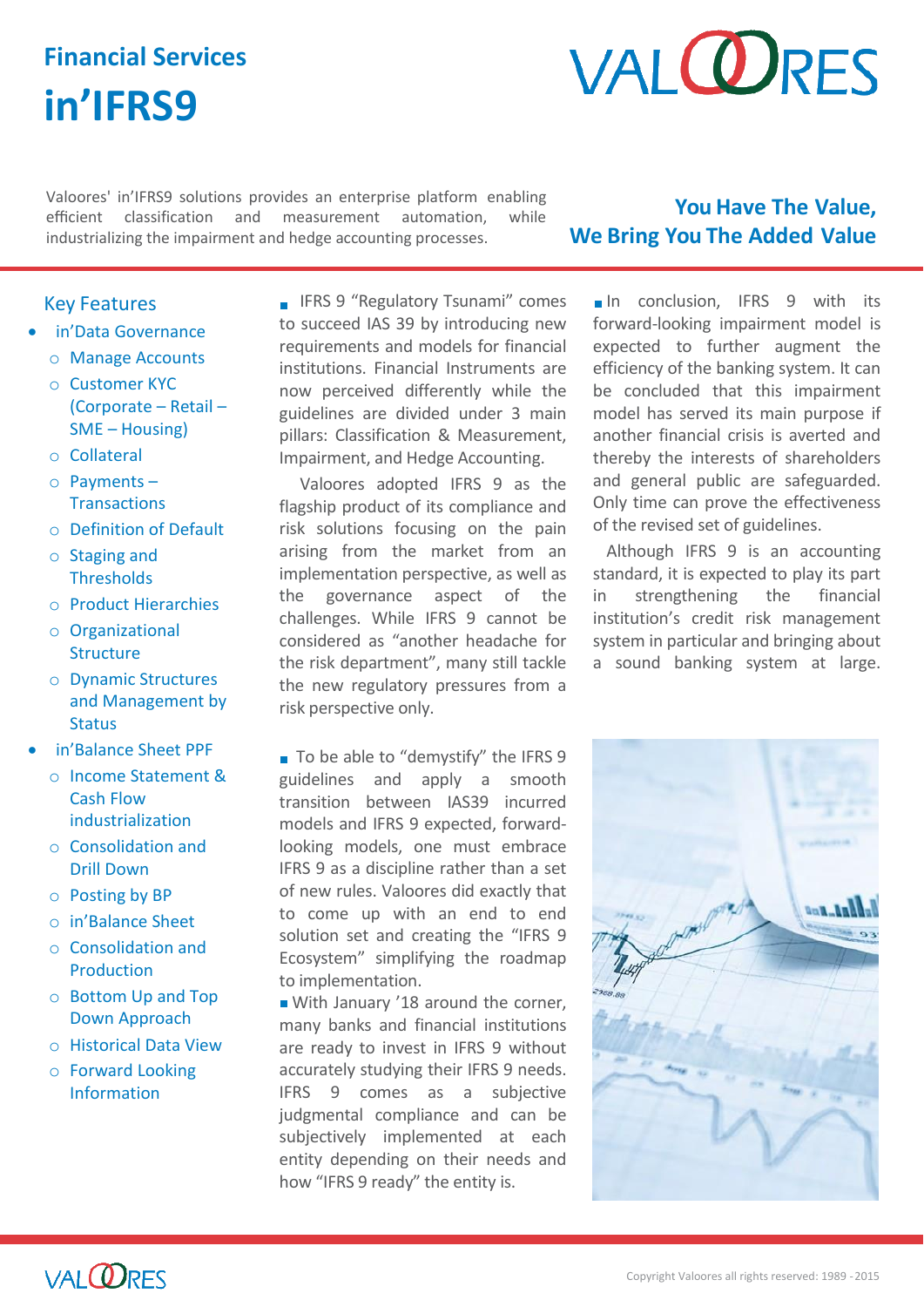# **Financial Services in'IFRS9**

# **VALORES**

Valoores' in'IFRS9 solutions provides an enterprise platform enabling efficient classification and measurement automation, while industrializing the impairment and hedge accounting processes.

## **You Have The Value, We Bring You The Added Value**

### Key Features

- in'Data Governance
	- o Manage Accounts
	- o Customer KYC (Corporate – Retail – SME – Housing)
	- o Collateral
	- o Payments **Transactions**
	- o Definition of Default
	- o Staging and **Thresholds**
	- o Product Hierarchies
	- o Organizational **Structure**
	- o Dynamic Structures and Management by **Status**
- in'Balance Sheet PPF
	- o Income Statement & Cash Flow industrialization
	- o Consolidation and Drill Down
	- o Posting by BP
	- o in'Balance Sheet
	- o Consolidation and Production
	- o Bottom Up and Top Down Approach
	- o Historical Data View
	- o Forward Looking Information

**IFRS 9 "Regulatory Tsunami" comes** to succeed IAS 39 by introducing new requirements and models for financial institutions. Financial Instruments are now perceived differently while the guidelines are divided under 3 main pillars: Classification & Measurement, Impairment, and Hedge Accounting.

Valoores adopted IFRS 9 as the flagship product of its compliance and risk solutions focusing on the pain arising from the market from an implementation perspective, as well as the governance aspect of the challenges. While IFRS 9 cannot be considered as "another headache for the risk department", many still tackle the new regulatory pressures from a risk perspective only.

■ To be able to "demystify" the IFRS 9 guidelines and apply a smooth transition between IAS39 incurred models and IFRS 9 expected, forwardlooking models, one must embrace IFRS 9 as a discipline rather than a set of new rules. Valoores did exactly that to come up with an end to end solution set and creating the "IFRS 9 Ecosystem" simplifying the roadmap to implementation.

■ With January '18 around the corner, many banks and financial institutions are ready to invest in IFRS 9 without accurately studying their IFRS 9 needs. IFRS 9 comes as a subjective judgmental compliance and can be subjectively implemented at each entity depending on their needs and how "IFRS 9 ready" the entity is.

In conclusion. IFRS 9 with its forward-looking impairment model is expected to further augment the efficiency of the banking system. It can be concluded that this impairment model has served its main purpose if another financial crisis is averted and thereby the interests of shareholders and general public are safeguarded. Only time can prove the effectiveness of the revised set of guidelines.

Although IFRS 9 is an accounting standard, it is expected to play its part in strengthening the financial institution's credit risk management system in particular and bringing about a sound banking system at large.



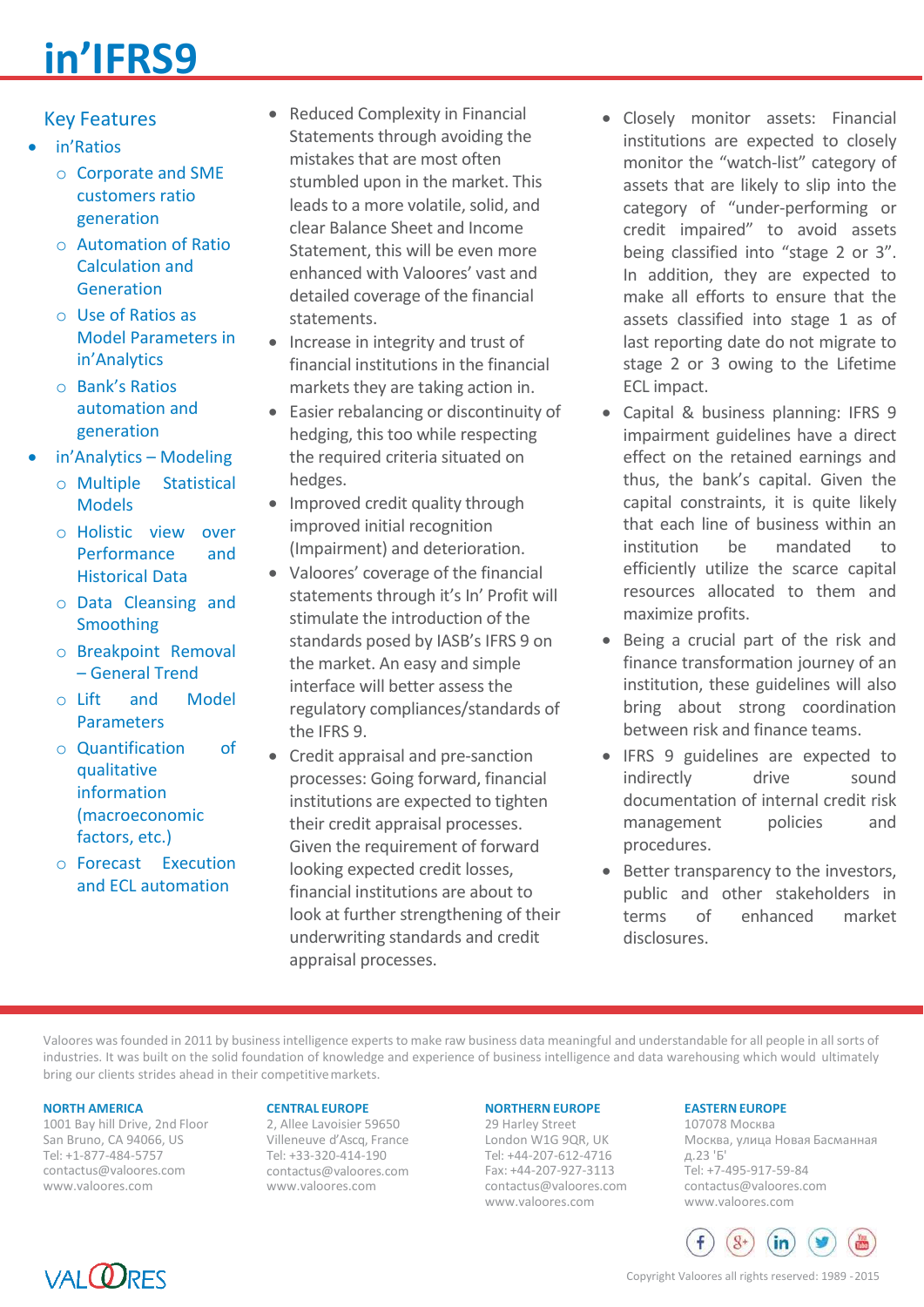# **in'IFRS9**

## Key Features

- in'Ratios
	- o Corporate and SME customers ratio generation
	- o Automation of Ratio Calculation and Generation
	- o Use of Ratios as Model Parameters in in'Analytics
	- o Bank's Ratios automation and generation
- in'Analytics Modeling
	- o Multiple Statistical Models
	- o Holistic view over Performance and Historical Data
	- o Data Cleansing and Smoothing
	- o Breakpoint Removal – General Trend
	- o Lift and Model Parameters
	- o Quantification of qualitative information (macroeconomic factors, etc.)
	- o Forecast Execution and ECL automation
- Reduced Complexity in Financial Statements through avoiding the mistakes that are most often stumbled upon in the market. This leads to a more volatile, solid, and clear Balance Sheet and Income Statement, this will be even more enhanced with Valoores' vast and detailed coverage of the financial statements.
- Increase in integrity and trust of financial institutions in the financial markets they are taking action in.
- Easier rebalancing or discontinuity of hedging, this too while respecting the required criteria situated on hedges.
- Improved credit quality through improved initial recognition (Impairment) and deterioration.
- Valoores' coverage of the financial statements through it's In' Profit will stimulate the introduction of the standards posed by IASB's IFRS 9 on the market. An easy and simple interface will better assess the regulatory compliances/standards of the IFRS 9.
- Credit appraisal and pre-sanction processes: Going forward, financial institutions are expected to tighten their credit appraisal processes. Given the requirement of forward looking expected credit losses, financial institutions are about to look at further strengthening of their underwriting standards and credit appraisal processes.
- Closely monitor assets: Financial institutions are expected to closely monitor the "watch-list" category of assets that are likely to slip into the category of "under-performing or credit impaired" to avoid assets being classified into "stage 2 or 3". In addition, they are expected to make all efforts to ensure that the assets classified into stage 1 as of last reporting date do not migrate to stage 2 or 3 owing to the Lifetime ECL impact.
- Capital & business planning: IFRS 9 impairment guidelines have a direct effect on the retained earnings and thus, the bank's capital. Given the capital constraints, it is quite likely that each line of business within an institution be mandated to efficiently utilize the scarce capital resources allocated to them and maximize profits.
- Being a crucial part of the risk and finance transformation journey of an institution, these guidelines will also bring about strong coordination between risk and finance teams.
- IFRS 9 guidelines are expected to indirectly drive sound documentation of internal credit risk management policies and procedures.
- Better transparency to the investors, public and other stakeholders in terms of enhanced market disclosures.

Valoores wasfounded in 2011 by businessintelligence experts to make raw business data meaningful and understandable for all people in all sorts of industries. It was built on the solid foundation of knowledge and experience of business intelligence and data warehousing which would ultimately bring our clients strides ahead in their competitivemarkets.

#### **NORTH AMERICA**

1001 Bay hill Drive, 2nd Floor San Bruno, CA 94066, US Tel: +1-877-484-5757 [contactus@valoores.com](mailto:contactus@valoores.com) [www.valoores.com](http://www.valoores.com/)

#### **CENTRAL EUROPE**

2, Allee Lavoisier 59650 Villeneuve d'Ascq, France Tel: +33-320-414-190 [contactus@valoores.com](mailto:contactus@valoores.com) [www.valoores.com](http://www.valoores.com/)

#### **NORTHERNEUROPE**

29 Harley Street London W1G 9QR, UK Tel: +44-207-612-4716 Fax: +44-207-927-3113 [contactus@valoores.com](mailto:contactus@valoores.com) [www.valoores.com](http://www.valoores.com/)

#### **EASTERNEUROPE**

107078 Москва Москва, улица Новая Басманная д.23 'Б' Tel: +7-495-917-59-84 [contactus@valoores.com](mailto:contactus@valoores.com) [www.valoores.com](http://www.valoores.com/)





Copyright Valoores all rights reserved: 1989 -2015